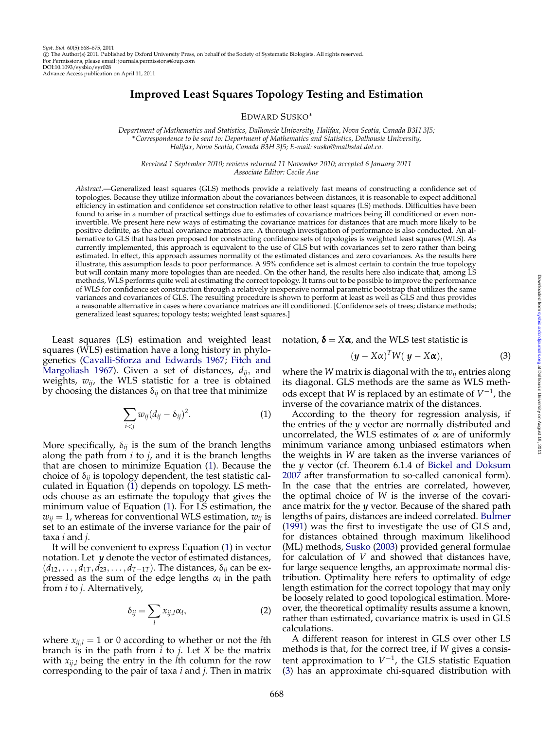*Syst. Biol.* 60(5):668–675, 2011  $\odot$  The Author(s) 2011. Published by Oxford University Press, on behalf of the Society of Systematic Biologists. All rights reserved. For Permissions, please email: journals.permissions@oup.com DOI:10.1093/sysbio/syr028 Advance Access publication on April 11, 2011

# **Improved Least Squares Topology Testing and Estimation**

EDWARD SUSKO∗

*Department of Mathematics and Statistics, Dalhousie University, Halifax, Nova Scotia, Canada B3H 3J5;* ∗*Correspondence to be sent to: Department of Mathematics and Statistics, Dalhousie University, Halifax, Nova Scotia, Canada B3H 3J5; E-mail: susko@mathstat.dal.ca.*

*Received 1 September 2010; reviews returned 11 November 2010; accepted 6 January 2011 Associate Editor: Cecile Ane*

*Abstract.*—Generalized least squares (GLS) methods provide a relatively fast means of constructing a confidence set of topologies. Because they utilize information about the covariances between distances, it is reasonable to expect additional efficiency in estimation and confidence set construction relative to other least squares (LS) methods. Difficulties have been found to arise in a number of practical settings due to estimates of covariance matrices being ill conditioned or even noninvertible. We present here new ways of estimating the covariance matrices for distances that are much more likely to be positive definite, as the actual covariance matrices are. A thorough investigation of performance is also conducted. An alternative to GLS that has been proposed for constructing confidence sets of topologies is weighted least squares (WLS). As currently implemented, this approach is equivalent to the use of GLS but with covariances set to zero rather than being estimated. In effect, this approach assumes normality of the estimated distances and zero covariances. As the results here illustrate, this assumption leads to poor performance. A 95% confidence set is almost certain to contain the true topology but will contain many more topologies than are needed. On the other hand, the results here also indicate that, among LS methods, WLS performs quite well at estimating the correct topology. It turns out to be possible to improve the performance of WLS for confidence set construction through a relatively inexpensive normal parametric bootstrap that utilizes the same variances and covariances of GLS. The resulting procedure is shown to perform at least as well as GLS and thus provides a reasonable alternative in cases where covariance matrices are ill conditioned. [Confidence sets of trees; distance methods; generalized least squares; topology tests; weighted least squares.]

Least squares (LS) estimation and weighted least squares (WLS) estimation have a long history in phylogenetics [\(Cavalli-Sforza and Edwards 1967](#page-7-0); [Fitch and](#page-7-0) [Margoliash 1967](#page-7-0)). Given a set of distances, *dij*, and weights, *wij*, the WLS statistic for a tree is obtained by choosing the distances  $\delta_{ij}$  on that tree that minimize

$$
\sum_{i (1)
$$

More specifically,  $\delta_{ij}$  is the sum of the branch lengths along the path from *i* to *j*, and it is the branch lengths that are chosen to minimize Equation (1). Because the choice of  $\delta_{ij}$  is topology dependent, the test statistic calculated in Equation (1) depends on topology. LS methods choose as an estimate the topology that gives the minimum value of Equation (1). For LS estimation, the  $w_{ii} = 1$ , whereas for conventional WLS estimation,  $w_{ii}$  is set to an estimate of the inverse variance for the pair of taxa *i* and *j*.

It will be convenient to express Equation (1) in vector notation. Let *y* denote the vector of estimated distances,  $(d_{12}, \ldots, d_{1T}, d_{23}, \ldots, d_{T-1T})$ . The distances,  $\delta_{ij}$  can be expressed as the sum of the edge lengths  $\alpha_l$  in the path from *i* to *j*. Alternatively,

$$
\delta_{ij} = \sum_{l} x_{ij,l} \alpha_l, \qquad (2)
$$

where  $x_{ii,l} = 1$  or 0 according to whether or not the *l*th branch is in the path from *i* to *j*. Let *X* be the matrix with *xij*,*<sup>l</sup>* being the entry in the *l*th column for the row corresponding to the pair of taxa *i* and *j*. Then in matrix notation,  $\delta = X\alpha$ , and the WLS test statistic is

$$
(\mathbf{y} - X\alpha)^T W(\mathbf{y} - X\alpha), \tag{3}
$$

where the *W* matrix is diagonal with the *wij* entries along its diagonal. GLS methods are the same as WLS methods except that *W* is replaced by an estimate of *V*−1, the inverse of the covariance matrix of the distances.

According to the theory for regression analysis, if the entries of the *y* vector are normally distributed and uncorrelated, the WLS estimates of  $\alpha$  are of uniformly minimum variance among unbiased estimators when the weights in *W* are taken as the inverse variances of the *y* vector (cf. Theorem 6.1.4 of [Bickel and Doksum](#page-7-0) [2007](#page-7-0) after transformation to so-called canonical form). In the case that the entries are correlated, however, the optimal choice of *W* is the inverse of the covariance matrix for the *y* vector. Because of the shared path lengths of pairs, distances are indeed correlated. [Bulmer](#page-7-0) [\(1991](#page-7-0)) was the first to investigate the use of GLS and, for distances obtained through maximum likelihood (ML) methods, [Susko](#page-7-0) [\(2003](#page-7-0)) provided general formulae for calculation of *V* and showed that distances have, for large sequence lengths, an approximate normal distribution. Optimality here refers to optimality of edge length estimation for the correct topology that may only be loosely related to good topological estimation. Moreover, the theoretical optimality results assume a known, rather than estimated, covariance matrix is used in GLS calculations.

A different reason for interest in GLS over other LS methods is that, for the correct tree, if *W* gives a consistent approximation to *V*−1, the GLS statistic Equation (3) has an approximate chi-squared distribution with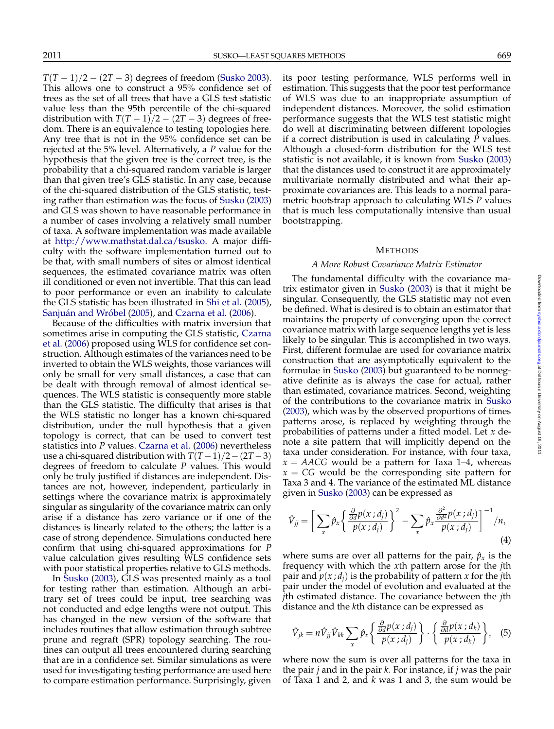<span id="page-1-0"></span>*T*(*T* − 1)/2 − (2*T* − 3) degrees of freedom [\(Susko 2003](#page-7-0)). This allows one to construct a 95% confidence set of trees as the set of all trees that have a GLS test statistic value less than the 95th percentile of the chi-squared distribution with  $T(T-1)/2 - (2T-3)$  degrees of freedom. There is an equivalence to testing topologies here. Any tree that is not in the 95% confidence set can be rejected at the 5% level. Alternatively, a *P* value for the hypothesis that the given tree is the correct tree, is the probability that a chi-squared random variable is larger than that given tree's GLS statistic. In any case, because of the chi-squared distribution of the GLS statistic, testing rather than estimation was the focus of [Susko](#page-7-0) [\(2003\)](#page-7-0) and GLS was shown to have reasonable performance in a number of cases involving a relatively small number of taxa. A software implementation was made available at [http://www.mathstat.dal.ca/tsusko.](http://www.mathstat.dal.ca/tsusko) A major difficulty with the software implementation turned out to be that, with small numbers of sites or almost identical sequences, the estimated covariance matrix was often ill conditioned or even not invertible. That this can lead to poor performance or even an inability to calculate the GLS statistic has been illustrated in [Shi et al.](#page-7-0) [\(2005](#page-7-0)), Sanjuán and Wróbel ([2005\)](#page-7-0), and [Czarna et al.](#page-7-0) [\(2006](#page-7-0)).

Because of the difficulties with matrix inversion that sometimes arise in computing the GLS statistic, [Czarna](#page-7-0) [et al.](#page-7-0) ([2006](#page-7-0)) proposed using WLS for confidence set construction. Although estimates of the variances need to be inverted to obtain the WLS weights, those variances will only be small for very small distances, a case that can be dealt with through removal of almost identical sequences. The WLS statistic is consequently more stable than the GLS statistic. The difficulty that arises is that the WLS statistic no longer has a known chi-squared distribution, under the null hypothesis that a given topology is correct, that can be used to convert test statistics into *P* values. [Czarna et al.](#page-7-0) [\(2006](#page-7-0)) nevertheless use a chi-squared distribution with *T*(*T*−1)/2−(2*T*−3) degrees of freedom to calculate *P* values. This would only be truly justified if distances are independent. Distances are not, however, independent, particularly in settings where the covariance matrix is approximately singular as singularity of the covariance matrix can only arise if a distance has zero variance or if one of the distances is linearly related to the others; the latter is a case of strong dependence. Simulations conducted here confirm that using chi-squared approximations for *P* value calculation gives resulting WLS confidence sets with poor statistical properties relative to GLS methods.

In [Susko](#page-7-0) [\(2003](#page-7-0)), GLS was presented mainly as a tool for testing rather than estimation. Although an arbitrary set of trees could be input, tree searching was not conducted and edge lengths were not output. This has changed in the new version of the software that includes routines that allow estimation through subtree prune and regraft (SPR) topology searching. The routines can output all trees encountered during searching that are in a confidence set. Similar simulations as were used for investigating testing performance are used here to compare estimation performance. Surprisingly, given

its poor testing performance, WLS performs well in estimation. This suggests that the poor test performance of WLS was due to an inappropriate assumption of independent distances. Moreover, the solid estimation performance suggests that the WLS test statistic might do well at discriminating between different topologies if a correct distribution is used in calculating  $\bar{P}$  values. Although a closed-form distribution for the WLS test statistic is not available, it is known from [Susko](#page-7-0) [\(2003\)](#page-7-0) that the distances used to construct it are approximately multivariate normally distributed and what their approximate covariances are. This leads to a normal parametric bootstrap approach to calculating WLS *P* values that is much less computationally intensive than usual bootstrapping.

# **METHODS**

#### *A More Robust Covariance Matrix Estimator*

The fundamental difficulty with the covariance matrix estimator given in [Susko](#page-7-0) [\(2003](#page-7-0)) is that it might be singular. Consequently, the GLS statistic may not even be defined. What is desired is to obtain an estimator that maintains the property of converging upon the correct covariance matrix with large sequence lengths yet is less likely to be singular. This is accomplished in two ways. First, different formulae are used for covariance matrix construction that are asymptotically equivalent to the formulae in [Susko](#page-7-0) [\(2003](#page-7-0)) but guaranteed to be nonnegative definite as is always the case for actual, rather than estimated, covariance matrices. Second, weighting of the contributions to the covariance matrix in [Susko](#page-7-0) [\(2003](#page-7-0)), which was by the observed proportions of times patterns arose, is replaced by weighting through the probabilities of patterns under a fitted model. Let *x* denote a site pattern that will implicitly depend on the taxa under consideration. For instance, with four taxa, *x* = *AACG* would be a pattern for Taxa 1–4, whereas *x* = *CG* would be the corresponding site pattern for Taxa 3 and 4. The variance of the estimated ML distance given in [Susko](#page-7-0) ([2003\)](#page-7-0) can be expressed as

$$
\hat{V}_{jj} = \left[\sum_{x} \hat{p}_x \left\{\frac{\frac{\partial}{\partial d}p(x; d_j)}{p(x; d_j)}\right\}^2 - \sum_{x} \hat{p}_x \frac{\frac{\partial^2}{\partial d^2}p(x; d_j)}{p(x; d_j)}\right]^{-1}/n, \tag{4}
$$

where sums are over all patterns for the pair,  $\hat{p}_x$  is the frequency with which the *x*th pattern arose for the *j*th pair and  $p(x; d_i)$  is the probability of pattern *x* for the *j*th pair under the model of evolution and evaluated at the *j*th estimated distance. The covariance between the *j*th distance and the *k*th distance can be expressed as

$$
\hat{V}_{jk} = n\hat{V}_{jj}\hat{V}_{kk}\sum_{x}\hat{p}_{x}\left\{\frac{\frac{\partial}{\partial d}p(x;d_{j})}{p(x;d_{j})}\right\} \cdot \left\{\frac{\frac{\partial}{\partial d}p(x;d_{k})}{p(x;d_{k})}\right\},
$$
 (5)

where now the sum is over all patterns for the taxa in the pair *j* and in the pair *k*. For instance, if *j* was the pair of Taxa 1 and 2, and *k* was 1 and 3, the sum would be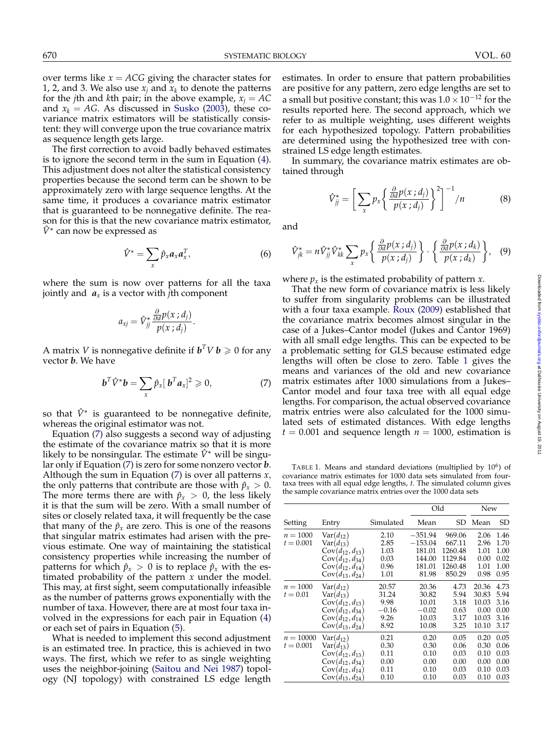<span id="page-2-0"></span>over terms like  $x = ACG$  giving the character states for 1, 2, and 3. We also use  $x_i$  and  $x_k$  to denote the patterns for the *j*th and *k*th pair; in the above example,  $x_i = AC$ and  $x_k = AG$ . As discussed in [Susko](#page-7-0) ([2003\)](#page-7-0), these covariance matrix estimators will be statistically consistent: they will converge upon the true covariance matrix as sequence length gets large.

The first correction to avoid badly behaved estimates is to ignore the second term in the sum in Equation ([4](#page-1-0)). This adjustment does not alter the statistical consistency properties because the second term can be shown to be approximately zero with large sequence lengths. At the same time, it produces a covariance matrix estimator that is guaranteed to be nonnegative definite. The reason for this is that the new covariance matrix estimator, *Vˆ* <sup>∗</sup> can now be expressed as

$$
\hat{V}^* = \sum_{x} \hat{p}_x a_x a_x^T, \tag{6}
$$

where the sum is now over patterns for all the taxa jointly and *a<sup>x</sup>* is a vector with *j*th component

$$
a_{xj} = \hat{V}_{jj}^* \frac{\frac{\partial}{\partial d} p(x; d_j)}{p(x; d_j)}.
$$

A matrix *V* is nonnegative definite if  $\mathbf{b}^T V \mathbf{b} \geq 0$  for any vector *b*. We have

$$
\boldsymbol{b}^T \hat{\boldsymbol{V}}^* \boldsymbol{b} = \sum_x \hat{p}_x [\ \boldsymbol{b}^T \boldsymbol{a}_x]^2 \geqslant 0, \tag{7}
$$

so that  $\hat{V}^*$  is guaranteed to be nonnegative definite, whereas the original estimator was not.

Equation (7) also suggests a second way of adjusting the estimate of the covariance matrix so that it is more likely to be nonsingular. The estimate  $\hat{V}^*$  will be singular only if Equation (7) is zero for some nonzero vector *b*. Although the sum in Equation (7) is over all patterns *x*, the only patterns that contribute are those with  $\hat{p}_x > 0$ . The more terms there are with  $\hat{p}_x > 0$ , the less likely it is that the sum will be zero. With a small number of sites or closely related taxa, it will frequently be the case that many of the  $\hat{p}_x$  are zero. This is one of the reasons that singular matrix estimates had arisen with the previous estimate. One way of maintaining the statistical consistency properties while increasing the number of patterns for which  $\hat{p}_x > 0$  is to replace  $\hat{p}_x$  with the estimated probability of the pattern *x* under the model. This may, at first sight, seem computationally infeasible as the number of patterns grows exponentially with the number of taxa. However, there are at most four taxa involved in the expressions for each pair in Equation ([4\)](#page-1-0) or each set of pairs in Equation ([5\)](#page-1-0).

What is needed to implement this second adjustment is an estimated tree. In practice, this is achieved in two ways. The first, which we refer to as single weighting uses the neighbor-joining [\(Saitou and Nei 1987\)](#page-7-0) topology (NJ topology) with constrained LS edge length

estimates. In order to ensure that pattern probabilities are positive for any pattern, zero edge lengths are set to a small but positive constant; this was  $1.0 \times 10^{-12}$  for the results reported here. The second approach, which we refer to as multiple weighting, uses different weights for each hypothesized topology. Pattern probabilities are determined using the hypothesized tree with constrained LS edge length estimates.

In summary, the covariance matrix estimates are obtained through

$$
\hat{V}_{jj}^{*} = \left[\sum_{x} p_{x} \left\{\frac{\frac{\partial}{\partial d} p(x; d_{j})}{p(x; d_{j})}\right\}^{2}\right]^{-1} / n \tag{8}
$$

and

$$
\hat{V}_{jk}^{*} = n\hat{V}_{jj}^{*}\hat{V}_{kk}^{*}\sum_{x}p_{x}\left\{\frac{\frac{\partial}{\partial d}p(x;d_{j})}{p(x;d_{j})}\right\} \cdot \left\{\frac{\frac{\partial}{\partial d}p(x;d_{k})}{p(x;d_{k})}\right\}, \quad (9)
$$

where  $p_x$  is the estimated probability of pattern *x*.

That the new form of covariance matrix is less likely to suffer from singularity problems can be illustrated with a four taxa example. [Roux](#page-7-0) [\(2009](#page-7-0)) established that the covariance matrix becomes almost singular in the case of a Jukes–Cantor model (Jukes and Cantor 1969) with all small edge lengths. This can be expected to be a problematic setting for GLS because estimated edge lengths will often be close to zero. Table 1 gives the means and variances of the old and new covariance matrix estimates after 1000 simulations from a Jukes– Cantor model and four taxa tree with all equal edge lengths. For comparison, the actual observed covariance matrix entries were also calculated for the 1000 simulated sets of estimated distances. With edge lengths  $t = 0.001$  and sequence length  $n = 1000$ , estimation is

TABLE 1. Means and standard deviations (multiplied by  $10^6$ ) of covariance matrix estimates for 1000 data sets simulated from fourtaxa trees with all equal edge lengths, *t*. The simulated column gives the sample covariance matrix entries over the 1000 data sets

|             |                        |           |           | Old     |       | New       |
|-------------|------------------------|-----------|-----------|---------|-------|-----------|
| Setting     | Entry                  | Simulated | Mean      | SD      | Mean  | <b>SD</b> |
| $n = 1000$  | $Var(d_{12})$          | 2.10      | $-351.94$ | 969.06  | 2.06  | 1.46      |
| $t = 0.001$ | $Var(d_{13})$          | 2.85      | $-153.04$ | 667.11  | 2.96  | 1.70      |
|             | $Cov(d_{12}, d_{13})$  | 1.03      | 181.01    | 1260.48 | 1.01  | 1.00      |
|             | $Cov(d_{12}, d_{34})$  | 0.03      | 144.00    | 1129.84 | 0.00  | 0.02      |
|             | $Cov(d_{12}, d_{14})$  | 0.96      | 181.01    | 1260.48 | 1.01  | 1.00      |
|             | $Cov(d_{13}, d_{24})$  | 1.01      | 81.98     | 850.29  | 0.98  | 0.95      |
| $n = 1000$  | $Var(d_{12})$          | 20.57     | 20.36     | 4.73    | 20.36 | 4.73      |
| $t = 0.01$  | $Var(d_{13})$          | 31.24     | 30.82     | 5.94    | 30.83 | 5.94      |
|             | $Cov(d_{12}, d_{13})$  | 9.98      | 10.01     | 3.18    | 10.03 | 3.16      |
|             | $Cov(d_{12}, d_{34})$  | $-0.16$   | $-0.02$   | 0.63    | 0.00  | 0.00      |
|             | $Cov(d_{12}, d_{14})$  | 9.26      | 10.03     | 3.17    | 10.03 | 3.16      |
|             | $Cov(d_{13}, d_{24})$  | 8.92      | 10.08     | 3.25    | 10.10 | 3.17      |
| $n = 10000$ | $Var(d_{12})$          | 0.21      | 0.20      | 0.05    | 0.20  | 0.05      |
| $t = 0.001$ | $Var(d_{13})$          | 0.30      | 0.30      | 0.06    | 0.30  | 0.06      |
|             | $Cov(d_{12}, d_{13})$  | 0.11      | 0.10      | 0.03    | 0.10  | 0.03      |
|             | $Cov(d_{12}, d_{34})$  | 0.00      | 0.00      | 0.00    | 0.00  | 0.00      |
|             | $Cov(d_{12}, d_{14})$  | 0.11      | 0.10      | 0.03    | 0.10  | 0.03      |
|             | Cov $(d_{13}, d_{24})$ | 0.10      | 0.10      | 0.03    | 0.10  | 0.03      |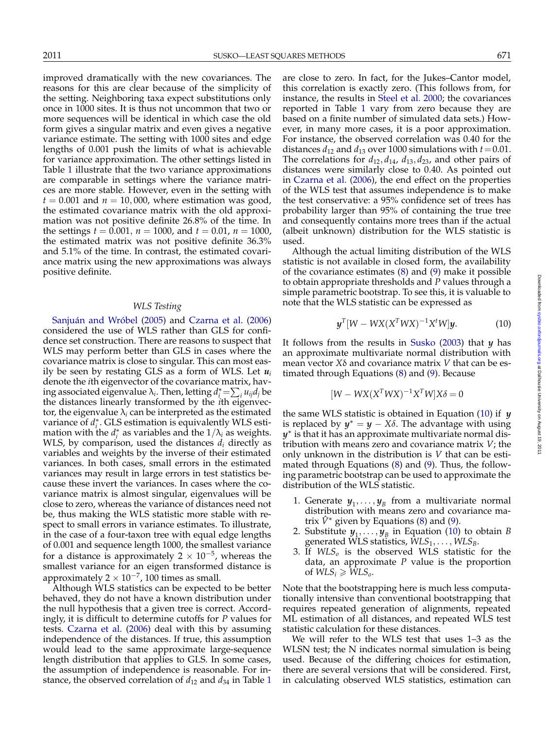improved dramatically with the new covariances. The reasons for this are clear because of the simplicity of the setting. Neighboring taxa expect substitutions only once in 1000 sites. It is thus not uncommon that two or more sequences will be identical in which case the old form gives a singular matrix and even gives a negative variance estimate. The setting with 1000 sites and edge lengths of 0.001 push the limits of what is achievable for variance approximation. The other settings listed in Table [1](#page-2-0) illustrate that the two variance approximations are comparable in settings where the variance matrices are more stable. However, even in the setting with  $t = 0.001$  and  $n = 10,000$ , where estimation was good, the estimated covariance matrix with the old approximation was not positive definite 26.8% of the time. In the settings  $t = 0.001$ ,  $n = 1000$ , and  $t = 0.01$ ,  $n = 1000$ , the estimated matrix was not positive definite 36.3% and 5.1% of the time. In contrast, the estimated covariance matrix using the new approximations was always positive definite.

## *WLS Testing*

Sanjuán and Wróbel ([2005\)](#page-7-0) and [Czarna et al.](#page-7-0) [\(2006\)](#page-7-0) considered the use of WLS rather than GLS for confidence set construction. There are reasons to suspect that WLS may perform better than GLS in cases where the covariance matrix is close to singular. This can most easily be seen by restating GLS as a form of WLS. Let *u<sup>i</sup>* denote the *i*th eigenvector of the covariance matrix, having associated eigenvalue  $\lambda_i$ . Then, letting  $d_i^* = \sum_i u_{ij} d_j$  be the distances linearly transformed by the *i*th eigenvector, the eigenvalue  $\lambda_i$  can be interpreted as the estimated variance of *d*<sup>∗</sup> *<sup>i</sup>* . GLS estimation is equivalently WLS estimation with the  $d_i^*$  as variables and the  $1/\lambda_i$  as weights. WLS, by comparison, used the distances *di* directly as variables and weights by the inverse of their estimated variances. In both cases, small errors in the estimated variances may result in large errors in test statistics because these invert the variances. In cases where the covariance matrix is almost singular, eigenvalues will be close to zero, whereas the variance of distances need not be, thus making the WLS statistic more stable with respect to small errors in variance estimates. To illustrate, in the case of a four-taxon tree with equal edge lengths of 0.001 and sequence length 1000, the smallest variance for a distance is approximately  $2 \times 10^{-5}$ , whereas the smallest variance for an eigen transformed distance is approximately  $2 \times 10^{-7}$ , 100 times as small.

Although WLS statistics can be expected to be better behaved, they do not have a known distribution under the null hypothesis that a given tree is correct. Accordingly, it is difficult to determine cutoffs for *P* values for tests. [Czarna et al.](#page-7-0) [\(2006](#page-7-0)) deal with this by assuming independence of the distances. If true, this assumption would lead to the same approximate large-sequence length distribution that applies to GLS. In some cases, the assumption of independence is reasonable. For instance, the observed correlation of  $d_{12}$  $d_{12}$  $d_{12}$  and  $d_{34}$  in Table 1

are close to zero. In fact, for the Jukes–Cantor model, this correlation is exactly zero. (This follows from, for instance, the results in [Steel et al. 2000](#page-7-0); the covariances reported in Table [1](#page-2-0) vary from zero because they are based on a finite number of simulated data sets.) However, in many more cases, it is a poor approximation. For instance, the observed correlation was 0.40 for the distances  $d_{12}$  and  $d_{13}$  over 1000 simulations with  $t = 0.01$ . The correlations for  $d_{12}$ ,  $d_{14}$ ,  $d_{13}$ ,  $d_{23}$ , and other pairs of distances were similarly close to 0.40. As pointed out in [Czarna et al.](#page-7-0) [\(2006](#page-7-0)), the end effect on the properties of the WLS test that assumes independence is to make the test conservative: a 95% confidence set of trees has probability larger than 95% of containing the true tree and consequently contains more trees than if the actual (albeit unknown) distribution for the WLS statistic is used.

Although the actual limiting distribution of the WLS statistic is not available in closed form, the availability of the covariance estimates ([8\)](#page-2-0) and ([9\)](#page-2-0) make it possible to obtain appropriate thresholds and *P* values through a simple parametric bootstrap. To see this, it is valuable to note that the WLS statistic can be expressed as

$$
\boldsymbol{y}^T[W - W X (X^T W X)^{-1} X^t W] \boldsymbol{y}.
$$
 (10)

It follows from the results in [Susko](#page-7-0) ([2003](#page-7-0)) that *y* has an approximate multivariate normal distribution with mean vector *X*δ and covariance matrix *V* that can be estimated through Equations ([8\)](#page-2-0) and [\(9](#page-2-0)). Because

$$
[W - W X (X^T W X)^{-1} X^T W] X \delta = 0
$$

the same WLS statistic is obtained in Equation (10) if *y* is replaced by  $y^* = y - X\delta$ . The advantage with using *y*<sup>∗</sup> is that it has an approximate multivariate normal distribution with means zero and covariance matrix *V*; the only unknown in the distribution is *V* that can be estimated through Equations ([8](#page-2-0)) and [\(9](#page-2-0)). Thus, the following parametric bootstrap can be used to approximate the distribution of the WLS statistic.

- 1. Generate  $y_1, \ldots, y_B$  from a multivariate normal distribution with means zero and covariance matrix  $V^*$  given by Equations ([8](#page-2-0)) and ([9\)](#page-2-0).
- 2. Substitute  $y_1, \ldots, y_B$  in Equation (10) to obtain *B* generated WLS statistics,  $WLS_1, \ldots, WLS_B$ .
- 3. If  $WLS<sub>o</sub>$  is the observed WLS statistic for the data, an approximate *P* value is the proportion of  $WLS_i \geq WLS_o$ .

Note that the bootstrapping here is much less computationally intensive than conventional bootstrapping that requires repeated generation of alignments, repeated ML estimation of all distances, and repeated WLS test statistic calculation for these distances.

We will refer to the WLS test that uses 1–3 as the WLSN test; the N indicates normal simulation is being used. Because of the differing choices for estimation, there are several versions that will be considered. First, in calculating observed WLS statistics, estimation can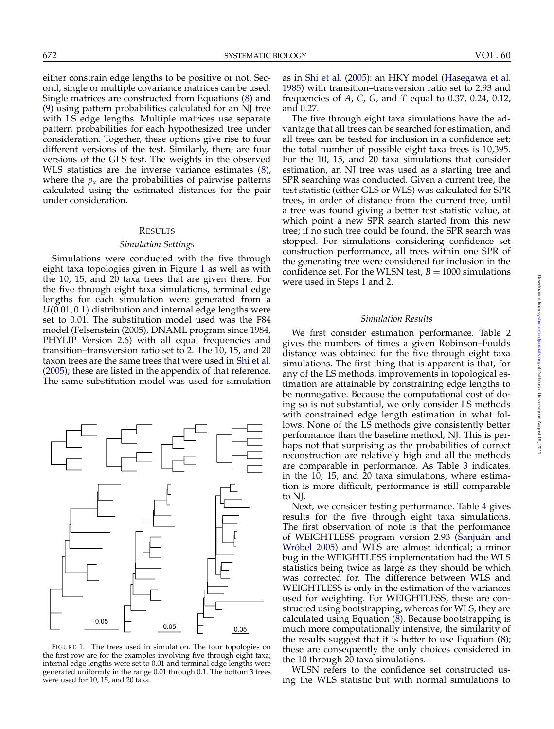either constrain edge lengths to be positive or not. Second, single or multiple covariance matrices can be used. Single matrices are constructed from Equations ([8\)](#page-2-0) and [\(9](#page-2-0)) using pattern probabilities calculated for an NJ tree with LS edge lengths. Multiple matrices use separate pattern probabilities for each hypothesized tree under consideration. Together, these options give rise to four different versions of the test. Similarly, there are four versions of the GLS test. The weights in the observed WLS statistics are the inverse variance estimates ([8](#page-2-0)), where the  $p_x$  are the probabilities of pairwise patterns calculated using the estimated distances for the pair under consideration.

# **RESULTS**

### *Simulation Settings*

Simulations were conducted with the five through eight taxa topologies given in Figure 1 as well as with the 10, 15, and 20 taxa trees that are given there. For the five through eight taxa simulations, terminal edge lengths for each simulation were generated from a *U*(0.01, 0.1) distribution and internal edge lengths were set to 0.01. The substitution model used was the F84 model (Felsenstein (2005), DNAML program since 1984, PHYLIP Version 2.6) with all equal frequencies and transition–transversion ratio set to 2. The  $10$ , 15, and 20 taxon trees are the same trees that were used in [Shi et al.](#page-7-0) [\(2005](#page-7-0)); these are listed in the appendix of that reference. The same substitution model was used for simulation



FIGURE 1. The trees used in simulation. The four topologies on the first row are for the examples involving five through eight taxa; internal edge lengths were set to 0.01 and terminal edge lengths were generated uniformly in the range 0.01 through 0.1. The bottom 3 trees were used for 10, 15, and 20 taxa.

as in [Shi et al.](#page-7-0) [\(2005](#page-7-0)): an HKY model ([Hasegawa et al.](#page-7-0) [1985\)](#page-7-0) with transition–transversion ratio set to 2.93 and frequencies of *A*, *C*, *G*, and *T* equal to 0.37, 0.24, 0.12, and 0.27.

The five through eight taxa simulations have the advantage that all trees can be searched for estimation, and all trees can be tested for inclusion in a confidence set; the total number of possible eight taxa trees is 10,395. For the 10, 15, and 20 taxa simulations that consider estimation, an NJ tree was used as a starting tree and SPR searching was conducted. Given a current tree, the test statistic (either GLS or WLS) was calculated for SPR trees, in order of distance from the current tree, until a tree was found giving a better test statistic value, at which point a new SPR search started from this new tree; if no such tree could be found, the SPR search was stopped. For simulations considering confidence set construction performance, all trees within one SPR of the generating tree were considered for inclusion in the confidence set. For the WLSN test,  $B = 1000$  simulations were used in Steps 1 and 2.

# *Simulation Results*

We first consider estimation performance. Table [2](#page-5-0) gives the numbers of times a given Robinson–Foulds distance was obtained for the five through eight taxa simulations. The first thing that is apparent is that, for any of the LS methods, improvements in topological estimation are attainable by constraining edge lengths to be nonnegative. Because the computational cost of doing so is not substantial, we only consider LS methods with constrained edge length estimation in what follows. None of the LS methods give consistently better performance than the baseline method, NJ. This is perhaps not that surprising as the probabilities of correct reconstruction are relatively high and all the methods are comparable in performance. As Table [3](#page-5-0) indicates, in the 10, 15, and 20 taxa simulations, where estimation is more difficult, performance is still comparable to NJ.

Next, we consider testing performance. Table [4](#page-5-0) gives results for the five through eight taxa simulations. The first observation of note is that the performance of WEIGHTLESS program version 2.93 (Sanjuán and Wróbel 2005) and WLS are almost identical; a minor bug in the WEIGHTLESS implementation had the WLS statistics being twice as large as they should be which was corrected for. The difference between WLS and WEIGHTLESS is only in the estimation of the variances used for weighting. For WEIGHTLESS, these are constructed using bootstrapping, whereas for WLS, they are calculated using Equation ([8](#page-2-0)). Because bootstrapping is much more computationally intensive, the similarity of the results suggest that it is better to use Equation ([8](#page-2-0)); these are consequently the only choices considered in the 10 through 20 taxa simulations.

WLSN refers to the confidence set constructed using the WLS statistic but with normal simulations to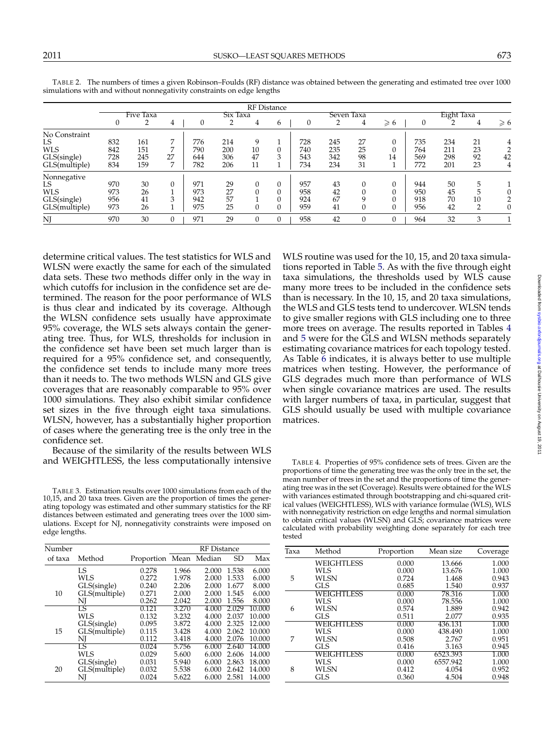|               |     |           |                |     |          |                  | <b>RF</b> Distance |     |            |    |               |     |            |    |               |
|---------------|-----|-----------|----------------|-----|----------|------------------|--------------------|-----|------------|----|---------------|-----|------------|----|---------------|
|               |     | Five Taxa |                |     | Six Taxa |                  |                    |     | Seven Taxa |    |               |     | Eight Taxa |    |               |
|               |     |           | 4              | 0   |          | 4                | b                  | 0   |            | 4  | $\geqslant 6$ |     |            | 4  | $\geqslant 6$ |
| No Constraint |     |           |                |     |          |                  |                    |     |            |    |               |     |            |    |               |
| LS            | 832 | 161       | $\overline{7}$ | 776 | 214      | 9                |                    | 728 | 245        | 27 | 0             | 735 | 234        | 21 |               |
| <b>WLS</b>    | 842 | 151       | ⇁              | 790 | 200      | 10               | 0                  | 740 | 235        | 25 | $\sim$<br>U   | 764 | 211        | 23 |               |
| GLS(single)   | 728 | 245       | 27             | 644 | 306      | 47               | ◠                  | 543 | 342        | 98 | 14            | 569 | 298        | 92 | 42            |
| GLS(multiple) | 834 | 159       | 7              | 782 | 206      | 11               |                    | 734 | 234        | 31 |               | 772 | 201        | 23 | 4             |
| Nonnegative   |     |           |                |     |          |                  |                    |     |            |    |               |     |            |    |               |
| LS            | 970 | 30        | $\Omega$       | 971 | 29       | $\mathbf{0}$     | 0                  | 957 | 43         |    | 0             | 944 | 50         | 5  |               |
| <b>WLS</b>    | 973 | 26        |                | 973 | 27       | 0                | 0                  | 958 | 42         |    | $\sim$        | 950 | 45         |    |               |
| GLS(single)   | 956 | 41        | 3              | 942 | 57       |                  |                    | 924 | 67         |    | 0             | 918 | 70         | 10 |               |
| GLS(multiple) | 973 | 26        |                | 975 | 25       | $\boldsymbol{0}$ | $\mathbf{0}$       | 959 | 41         |    | 0             | 956 | 42         | ∍  |               |
| NJ            | 970 | 30        | $\theta$       | 971 | 29       | $\boldsymbol{0}$ | 0                  | 958 | 42         |    |               | 964 | 32         | 3  |               |

<span id="page-5-0"></span>TABLE 2. The numbers of times a given Robinson–Foulds (RF) distance was obtained between the generating and estimated tree over 1000 simulations with and without nonnegativity constraints on edge lengths

determine critical values. The test statistics for WLS and WLSN were exactly the same for each of the simulated data sets. These two methods differ only in the way in which cutoffs for inclusion in the confidence set are determined. The reason for the poor performance of WLS is thus clear and indicated by its coverage. Although the WLSN confidence sets usually have approximate 95% coverage, the WLS sets always contain the generating tree. Thus, for WLS, thresholds for inclusion in the confidence set have been set much larger than is required for a 95% confidence set, and consequently, the confidence set tends to include many more trees than it needs to. The two methods WLSN and GLS give coverages that are reasonably comparable to 95% over 1000 simulations. They also exhibit similar confidence set sizes in the five through eight taxa simulations. WLSN, however, has a substantially higher proportion of cases where the generating tree is the only tree in the confidence set.

Because of the similarity of the results between WLS and WEIGHTLESS, the less computationally intensive

TABLE 3. Estimation results over 1000 simulations from each of the 10,15, and 20 taxa trees. Given are the proportion of times the generating topology was estimated and other summary statistics for the RF distances between estimated and generating trees over the 1000 simulations. Except for NJ, nonnegativity constraints were imposed on edge lengths.

| Number  |               |                        |       | <b>RF</b> Distance |       |        |
|---------|---------------|------------------------|-------|--------------------|-------|--------|
| of taxa | Method        | Proportion Mean Median |       |                    | SD    | Max    |
|         | LS            | 0.278                  | 1.966 | 2.000              | 1.538 | 6.000  |
|         | WLS           | 0.272                  | 1.978 | 2.000              | 1.533 | 6.000  |
|         | GLS(single)   | 0.240                  | 2.206 | 2.000              | 1.677 | 8.000  |
| 10      | GLS(multiple) | 0.271                  | 2.000 | 2.000              | 1.545 | 6.000  |
|         | NJ            | 0.262                  | 2.042 | 2.000              | 1.556 | 8.000  |
|         | ΤS            | 0.121                  | 3.270 | 4.000              | 2.029 | 10.000 |
|         | WLS           | 0.132                  | 3.232 | 4.000              | 2.037 | 10.000 |
|         | GLS(single)   | 0.095                  | 3.872 | 4.000              | 2.325 | 12.000 |
| 15      | GLS(multiple) | 0.115                  | 3.428 | 4.000              | 2.062 | 10.000 |
|         | NJ            | 0.112                  | 3.418 | 4.000              | 2.076 | 10.000 |
|         | ΓS            | 0.024                  | 5.756 | 6.000              | 2.640 | 14.000 |
|         | WLS           | 0.029                  | 5.600 | 6.000              | 2.606 | 14.000 |
|         | GLS(single)   | 0.031                  | 5.940 | 6.000              | 2.863 | 18.000 |
| 20      | GLS(multiple) | 0.032                  | 5.538 | 6.000              | 2.642 | 14.000 |
|         | NJ            | 0.024                  | 5.622 | 6.000              | 2.581 | 14.000 |

WLS routine was used for the 10, 15, and 20 taxa simulations reported in Table [5](#page-6-0). As with the five through eight taxa simulations, the thresholds used by WLS cause many more trees to be included in the confidence sets than is necessary. In the 10, 15, and 20 taxa simulations, the WLS and GLS tests tend to undercover. WLSN tends to give smaller regions with GLS including one to three more trees on average. The results reported in Tables 4 and [5](#page-6-0) were for the GLS and WLSN methods separately estimating covariance matrices for each topology tested. As Table [6](#page-6-0) indicates, it is always better to use multiple matrices when testing. However, the performance of GLS degrades much more than performance of WLS when single covariance matrices are used. The results with larger numbers of taxa, in particular, suggest that GLS should usually be used with multiple covariance matrices.

TABLE 4. Properties of 95% confidence sets of trees. Given are the proportions of time the generating tree was the only tree in the set, the mean number of trees in the set and the proportions of time the generating tree was in the set (Coverage). Results were obtained for the WLS with variances estimated through bootstrapping and chi-squared critical values (WEIGHTLESS), WLS with variance formulae (WLS), WLS with nonnegativity restriction on edge lengths and normal simulation to obtain critical values (WLSN) and GLS; covariance matrices were calculated with probability weighting done separately for each tree tested

| Taxa | Method     | Proportion | Mean size | Coverage |
|------|------------|------------|-----------|----------|
|      | WEIGHTLESS | 0.000      | 13.666    | 1.000    |
|      | WLS        | 0.000      | 13.676    | 1.000    |
| 5    | WLSN       | 0.724      | 1.468     | 0.943    |
|      | GL S       | 0.685      | 1.540     | 0.937    |
|      | WEIGHTLESS | 0.000      | 78.316    | 1.000    |
|      | WLS        | 0.000      | 78.556    | 1.000    |
| 6    | WLSN       | 0.574      | 1.889     | 0.942    |
|      | GLS        | 0.511      | 2.077     | 0.935    |
|      | WEIGHTLESS | 0.000      | 436.131   | 1.000    |
|      | WLS        | 0.000      | 438.490   | 1.000    |
| 7    | WLSN       | 0.508      | 2.767     | 0.951    |
|      | GL S       | 0.416      | 3.163     | 0.945    |
|      | WEIGHTLESS | 0.000      | 6523.393  | 1.000    |
|      | WLS        | 0.000      | 6557.942  | 1.000    |
| 8    | WLSN       | 0.412      | 4.054     | 0.952    |
|      | GLS        | 0.360      | 4.504     | 0.948    |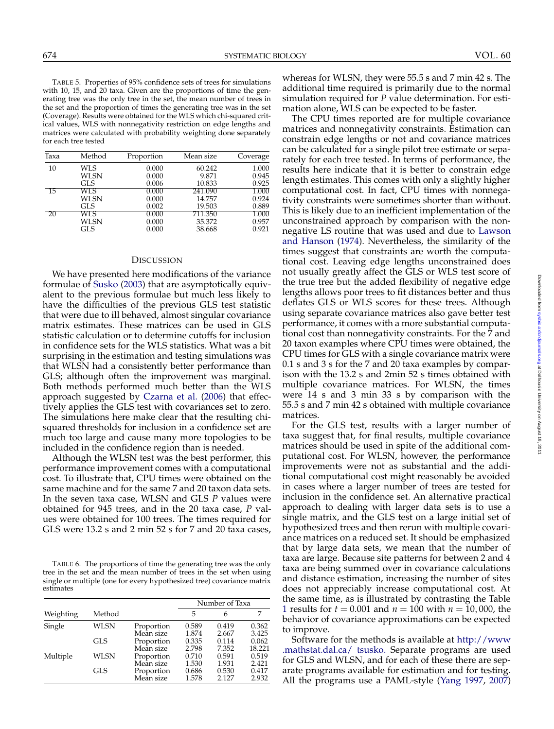<span id="page-6-0"></span>TABLE 5. Properties of 95% confidence sets of trees for simulations with 10, 15, and 20 taxa. Given are the proportions of time the generating tree was the only tree in the set, the mean number of trees in the set and the proportion of times the generating tree was in the set (Coverage). Results were obtained for the WLS which chi-squared critical values, WLS with nonnegativity restriction on edge lengths and matrices were calculated with probability weighting done separately for each tree tested

| Taxa | Method      | Proportion | Mean size | Coverage |
|------|-------------|------------|-----------|----------|
| 10   | WLS         | 0.000      | 60.242    | 1.000    |
|      | <b>WLSN</b> | 0.000      | 9.871     | 0.945    |
|      | <b>GLS</b>  | 0.006      | 10.833    | 0.925    |
| 15   | WLS.        | 0.000      | 241.090   | 1.000    |
|      | <b>WLSN</b> | 0.000      | 14.757    | 0.924    |
|      | GLS         | 0.002      | 19.503    | 0.889    |
| 20   | WLS.        | 0.000      | 711.350   | 1.000    |
|      | <b>WLSN</b> | 0.000      | 35.372    | 0.957    |
|      | <b>GLS</b>  | 0.000      | 38.668    | 0.921    |

# **DISCUSSION**

We have presented here modifications of the variance formulae of [Susko](#page-7-0) ([2003\)](#page-7-0) that are asymptotically equivalent to the previous formulae but much less likely to have the difficulties of the previous GLS test statistic that were due to ill behaved, almost singular covariance matrix estimates. These matrices can be used in GLS statistic calculation or to determine cutoffs for inclusion in confidence sets for the WLS statistics. What was a bit surprising in the estimation and testing simulations was that WLSN had a consistently better performance than GLS; although often the improvement was marginal. Both methods performed much better than the WLS approach suggested by [Czarna et al.](#page-7-0) [\(2006\)](#page-7-0) that effectively applies the GLS test with covariances set to zero. The simulations here make clear that the resulting chisquared thresholds for inclusion in a confidence set are much too large and cause many more topologies to be included in the confidence region than is needed.

Although the WLSN test was the best performer, this performance improvement comes with a computational cost. To illustrate that, CPU times were obtained on the same machine and for the same 7 and 20 taxon data sets. In the seven taxa case, WLSN and GLS *P* values were obtained for 945 trees, and in the 20 taxa case, *P* values were obtained for 100 trees. The times required for GLS were 13.2 s and 2 min 52 s for 7 and 20 taxa cases,

TABLE 6. The proportions of time the generating tree was the only tree in the set and the mean number of trees in the set when using single or multiple (one for every hypothesized tree) covariance matrix estimates

|           |             |            | Number of Taxa |       |        |  |  |
|-----------|-------------|------------|----------------|-------|--------|--|--|
| Weighting | Method      |            | 5              | 6     | 7      |  |  |
| Single    | <b>WLSN</b> | Proportion | 0.589          | 0.419 | 0.362  |  |  |
|           |             | Mean size  | 1.874          | 2.667 | 3.425  |  |  |
|           | GLS.        | Proportion | 0.335          | 0.114 | 0.062  |  |  |
|           |             | Mean size  | 2.798          | 7.352 | 18.221 |  |  |
| Multiple  | <b>WLSN</b> | Proportion | 0.710          | 0.591 | 0.519  |  |  |
|           |             | Mean size  | 1.530          | 1.931 | 2.421  |  |  |
|           | GLS.        | Proportion | 0.686          | 0.530 | 0.417  |  |  |
|           |             | Mean size  | 1.578          | 2.127 | 2.932  |  |  |

whereas for WLSN, they were 55.5 s and 7 min 42 s. The additional time required is primarily due to the normal simulation required for *P* value determination. For estimation alone, WLS can be expected to be faster.

The CPU times reported are for multiple covariance matrices and nonnegativity constraints. Estimation can constrain edge lengths or not and covariance matrices can be calculated for a single pilot tree estimate or separately for each tree tested. In terms of performance, the results here indicate that it is better to constrain edge length estimates. This comes with only a slightly higher computational cost. In fact, CPU times with nonnegativity constraints were sometimes shorter than without. This is likely due to an inefficient implementation of the unconstrained approach by comparison with the nonnegative LS routine that was used and due to [Lawson](#page-7-0) [and Hanson](#page-7-0) [\(1974](#page-7-0)). Nevertheless, the similarity of the times suggest that constraints are worth the computational cost. Leaving edge lengths unconstrained does not usually greatly affect the GLS or WLS test score of the true tree but the added flexibility of negative edge lengths allows poor trees to fit distances better and thus deflates GLS or WLS scores for these trees. Although using separate covariance matrices also gave better test performance, it comes with a more substantial computational cost than nonnegativity constraints. For the 7 and 20 taxon examples where CPU times were obtained, the CPU times for GLS with a single covariance matrix were 0.1 s and 3 s for the 7 and 20 taxa examples by comparison with the 13.2 s and 2min 52 s times obtained with multiple covariance matrices. For WLSN, the times were 14 s and 3 min 33 s by comparison with the 55.5 s and 7 min 42 s obtained with multiple covariance matrices.

For the GLS test, results with a larger number of taxa suggest that, for final results, multiple covariance matrices should be used in spite of the additional computational cost. For WLSN, however, the performance improvements were not as substantial and the additional computational cost might reasonably be avoided in cases where a larger number of trees are tested for inclusion in the confidence set. An alternative practical approach to dealing with larger data sets is to use a single matrix, and the GLS test on a large initial set of hypothesized trees and then rerun with multiple covariance matrices on a reduced set. It should be emphasized that by large data sets, we mean that the number of taxa are large. Because site patterns for between 2 and 4 taxa are being summed over in covariance calculations and distance estimation, increasing the number of sites does not appreciably increase computational cost. At the same time, as is illustrated by contrasting the Table [1](#page-2-0) results for *t* = 0.001 and *n* = 100 with *n* = 10, 000, the behavior of covariance approximations can be expected to improve.

Software for the methods is available at [http://www](http://www.mathstat.dal.ca/~tsusko) [.mathstat.dal.ca/ tsusko.](http://www.mathstat.dal.ca/~tsusko) Separate programs are used for GLS and WLSN, and for each of these there are separate programs available for estimation and for testing. All the programs use a PAML-style [\(Yang 1997](#page-7-0), [2007\)](#page-7-0)